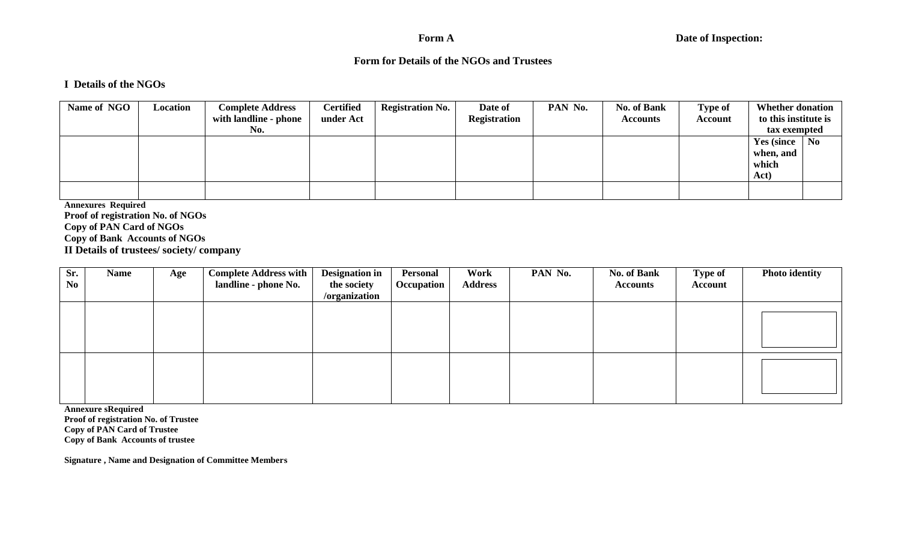#### Form A

### **Form for Details of the NGOs and Trustees**

#### **I Details of the NGOs**

| Name of NGO | Location | <b>Complete Address</b><br>with landline - phone<br>No. | <b>Certified</b><br>under Act | <b>Registration No.</b> | Date of<br><b>Registration</b> | PAN No. | <b>No. of Bank</b><br><b>Accounts</b> | <b>Type of</b><br><b>Account</b> | <b>Whether donation</b><br>to this institute is<br>tax exempted |  |
|-------------|----------|---------------------------------------------------------|-------------------------------|-------------------------|--------------------------------|---------|---------------------------------------|----------------------------------|-----------------------------------------------------------------|--|
|             |          |                                                         |                               |                         |                                |         |                                       |                                  | Yes (since $\vert$ No<br>when, and<br>which<br>Act)             |  |
|             |          |                                                         |                               |                         |                                |         |                                       |                                  |                                                                 |  |

 **Annexures Required Proof of registration No. of NGOs Copy of PAN Card of NGOs Copy of Bank Accounts of NGOs II Details of trustees/ society/ company** 

| Sr.<br>N <sub>0</sub> | <b>Name</b> | Age | <b>Complete Address with</b><br>landline - phone No. | <b>Designation in</b><br>the society<br>/organization | Personal<br>Occupation | Work<br><b>Address</b> | PAN No. | <b>No. of Bank</b><br><b>Accounts</b> | <b>Type of</b><br>Account | <b>Photo identity</b> |
|-----------------------|-------------|-----|------------------------------------------------------|-------------------------------------------------------|------------------------|------------------------|---------|---------------------------------------|---------------------------|-----------------------|
|                       |             |     |                                                      |                                                       |                        |                        |         |                                       |                           |                       |
|                       |             |     |                                                      |                                                       |                        |                        |         |                                       |                           |                       |

**Annexure sRequired** 

 **Proof of registration No. of Trustee Copy of PAN Card of Trustee Copy of Bank Accounts of trustee** 

 **Signature , Name and Designation of Committee Members**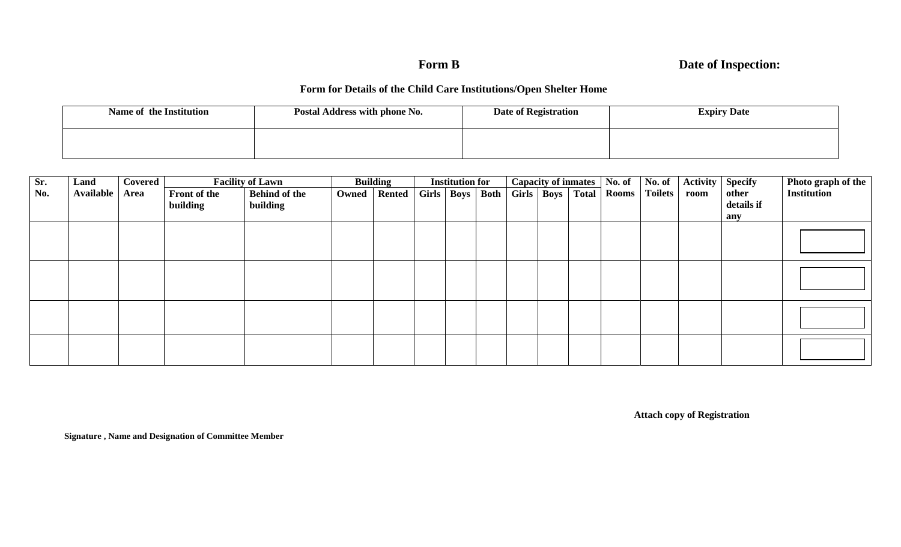### Form **B**

## **Date of Inspection:**

### **Form for Details of the Child Care Institutions/Open Shelter Home**

| Name of the Institution | Postal Address with phone No. | Date of Registration | <b>Expiry Date</b> |  |  |  |  |
|-------------------------|-------------------------------|----------------------|--------------------|--|--|--|--|
|                         |                               |                      |                    |  |  |  |  |

| Sr. | Land      | Covered | <b>Facility of Lawn</b> |                      | <b>Building</b> |                | <b>Institution for</b> |                     | <b>Capacity of inmates</b> |  | No. of               | No. of | Activity     | <b>Specify</b> | Photo graph of the |            |                    |
|-----|-----------|---------|-------------------------|----------------------|-----------------|----------------|------------------------|---------------------|----------------------------|--|----------------------|--------|--------------|----------------|--------------------|------------|--------------------|
| No. | Available | Area    | Front of the            | <b>Behind of the</b> |                 | Owned   Rented |                        | Girls   Boys   Both |                            |  | Girls   Boys   Total |        | <b>Rooms</b> | <b>Toilets</b> | room               | other      | <b>Institution</b> |
|     |           |         | building                | building             |                 |                |                        |                     |                            |  |                      |        |              |                |                    | details if |                    |
|     |           |         |                         |                      |                 |                |                        |                     |                            |  |                      |        |              |                |                    | any        |                    |
|     |           |         |                         |                      |                 |                |                        |                     |                            |  |                      |        |              |                |                    |            |                    |
|     |           |         |                         |                      |                 |                |                        |                     |                            |  |                      |        |              |                |                    |            |                    |
|     |           |         |                         |                      |                 |                |                        |                     |                            |  |                      |        |              |                |                    |            |                    |
|     |           |         |                         |                      |                 |                |                        |                     |                            |  |                      |        |              |                |                    |            |                    |
|     |           |         |                         |                      |                 |                |                        |                     |                            |  |                      |        |              |                |                    |            |                    |
|     |           |         |                         |                      |                 |                |                        |                     |                            |  |                      |        |              |                |                    |            |                    |
|     |           |         |                         |                      |                 |                |                        |                     |                            |  |                      |        |              |                |                    |            |                    |
|     |           |         |                         |                      |                 |                |                        |                     |                            |  |                      |        |              |                |                    |            |                    |
|     |           |         |                         |                      |                 |                |                        |                     |                            |  |                      |        |              |                |                    |            |                    |
|     |           |         |                         |                      |                 |                |                        |                     |                            |  |                      |        |              |                |                    |            |                    |
|     |           |         |                         |                      |                 |                |                        |                     |                            |  |                      |        |              |                |                    |            |                    |
|     |           |         |                         |                      |                 |                |                        |                     |                            |  |                      |        |              |                |                    |            |                    |

**Attach copy of Registration** 

 **Signature , Name and Designation of Committee Member**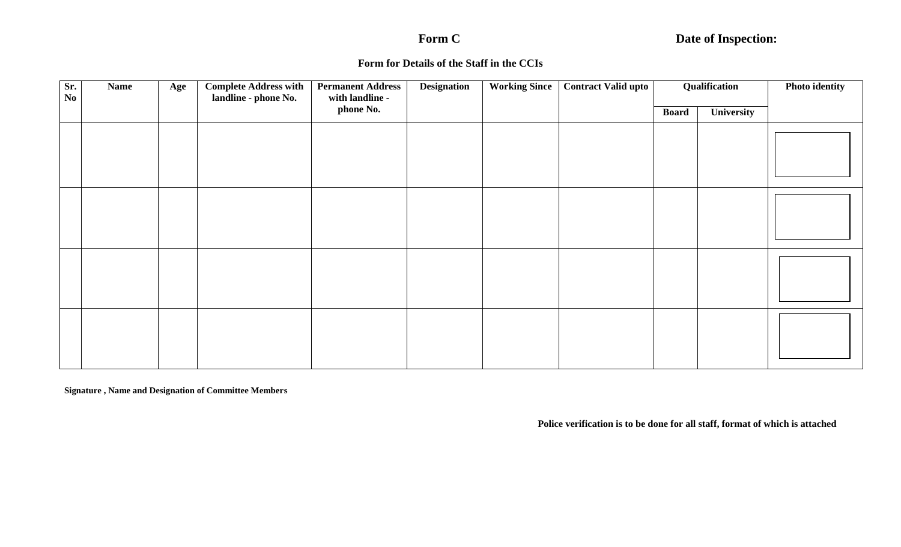## Form C

# **Date of Inspection:**

#### **Form for Details of the Staff in the CCIs**

| Sr.<br>$\mathbf{N}\mathbf{o}$ | <b>Name</b> | Age | <b>Complete Address with</b><br>landline - phone No. | <b>Permanent Address</b><br>with landline - | <b>Designation</b> | <b>Working Since</b> | <b>Contract Valid upto</b> |                            | Qualification | <b>Photo identity</b> |  |
|-------------------------------|-------------|-----|------------------------------------------------------|---------------------------------------------|--------------------|----------------------|----------------------------|----------------------------|---------------|-----------------------|--|
|                               |             |     |                                                      | phone No.                                   |                    |                      |                            | <b>Board</b><br>University |               |                       |  |
|                               |             |     |                                                      |                                             |                    |                      |                            |                            |               |                       |  |
|                               |             |     |                                                      |                                             |                    |                      |                            |                            |               |                       |  |
|                               |             |     |                                                      |                                             |                    |                      |                            |                            |               |                       |  |
|                               |             |     |                                                      |                                             |                    |                      |                            |                            |               |                       |  |
|                               |             |     |                                                      |                                             |                    |                      |                            |                            |               |                       |  |
|                               |             |     |                                                      |                                             |                    |                      |                            |                            |               |                       |  |
|                               |             |     |                                                      |                                             |                    |                      |                            |                            |               |                       |  |
|                               |             |     |                                                      |                                             |                    |                      |                            |                            |               |                       |  |
|                               |             |     |                                                      |                                             |                    |                      |                            |                            |               |                       |  |
|                               |             |     |                                                      |                                             |                    |                      |                            |                            |               |                       |  |
|                               |             |     |                                                      |                                             |                    |                      |                            |                            |               |                       |  |
|                               |             |     |                                                      |                                             |                    |                      |                            |                            |               |                       |  |

 **Signature , Name and Designation of Committee Members** 

**Police verification is to be done for all staff, format of which is attached**